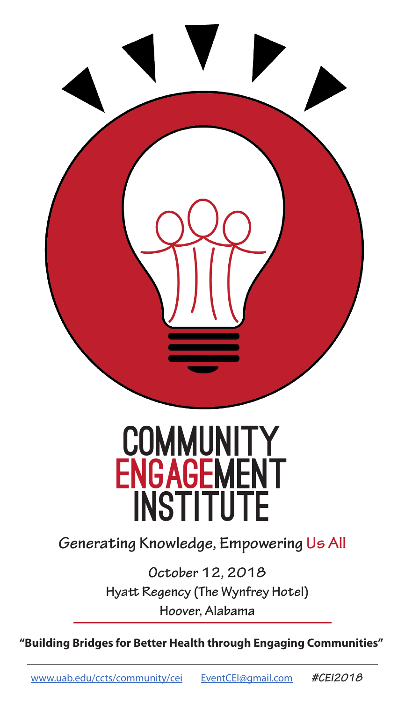

## **COMMUNITY ENGAGEMENT INSTITUTE**

**Generating Knowledge, Empowering Us All**

**October 12, 2018 Hyatt Regency (The Wynfrey Hotel) Hoover, Alabama**

**"Building Bridges for Better Health through Engaging Communities"**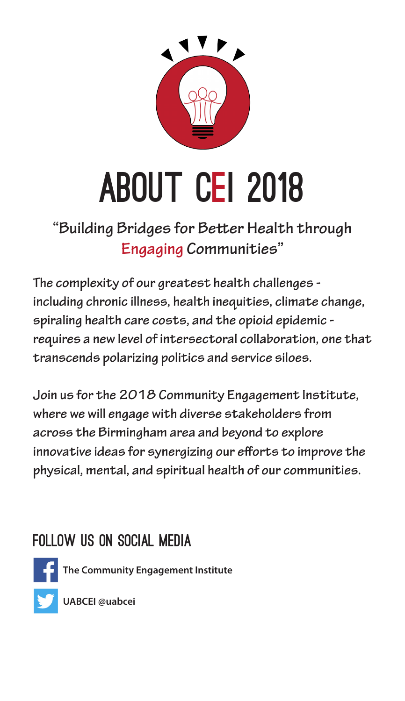

# **ABOUT CEI 2018**

## **"Building Bridges for Better Health through Engaging Communities"**

**The complexity of our greatest health challenges including chronic illness, health inequities, climate change, spiraling health care costs, and the opioid epidemic requires a new level of intersectoral collaboration, one that transcends polarizing politics and service siloes.** 

**Join us for the 2018 Community Engagement Institute, where we will engage with diverse stakeholders from across the Birmingham area and beyond to explore innovative ideas for synergizing our efforts to improve the physical, mental, and spiritual health of our communities.** 

## Follow Us on Social Media



**The Community Engagement Institute**

**UABCEI @uabcei**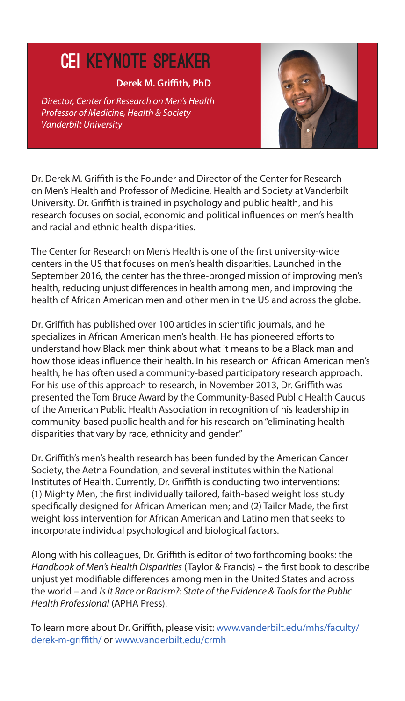## CEI KEYNOTE speaker

#### **Derek M. Griffith, PhD**

*Director, Center for Research on Men's Health Professor of Medicine, Health & Society Vanderbilt University*



Dr. Derek M. Griffith is the Founder and Director of the Center for Research on Men's Health and Professor of Medicine, Health and Society at Vanderbilt University. Dr. Griffith is trained in psychology and public health, and his research focuses on social, economic and political influences on men's health and racial and ethnic health disparities.

The Center for Research on Men's Health is one of the first university-wide centers in the US that focuses on men's health disparities. Launched in the September 2016, the center has the three-pronged mission of improving men's health, reducing unjust differences in health among men, and improving the health of African American men and other men in the US and across the globe.

Dr. Griffith has published over 100 articles in scientific journals, and he specializes in African American men's health. He has pioneered efforts to understand how Black men think about what it means to be a Black man and how those ideas influence their health. In his research on African American men's health, he has often used a community-based participatory research approach. For his use of this approach to research, in November 2013, Dr. Griffith was presented the Tom Bruce Award by the Community-Based Public Health Caucus of the American Public Health Association in recognition of his leadership in community-based public health and for his research on "eliminating health disparities that vary by race, ethnicity and gender."

Dr. Griffith's men's health research has been funded by the American Cancer Society, the Aetna Foundation, and several institutes within the National Institutes of Health. Currently, Dr. Griffith is conducting two interventions: (1) Mighty Men, the first individually tailored, faith-based weight loss study specifically designed for African American men; and (2) Tailor Made, the first weight loss intervention for African American and Latino men that seeks to incorporate individual psychological and biological factors.

Along with his colleagues, Dr. Griffith is editor of two forthcoming books: the *Handbook of Men's Health Disparities* (Taylor & Francis) – the first book to describe unjust yet modifiable differences among men in the United States and across the world – and *Is it Race or Racism?: State of the Evidence & Tools for the Public Health Professional* (APHA Press).

To learn more about Dr. Griffith, please visit: www.vanderbilt.edu/mhs/faculty/ derek-m-griffith/ or www.vanderbilt.edu/crmh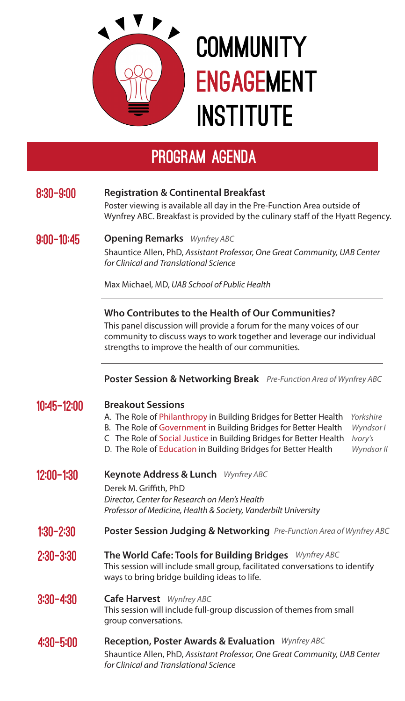

## **COMMUNITY ENGAGEMENT INSTITUTE**

## program agenda

#### 8:30-9:00 **Registration & Continental Breakfast**

Poster viewing is available all day in the Pre-Function Area outside of Wynfrey ABC. Breakfast is provided by the culinary staff of the Hyatt Regency.

#### 9:00-10:45 **Opening Remarks** *Wynfrey ABC*

Shauntice Allen, PhD, *Assistant Professor, One Great Community, UAB Center for Clinical and Translational Science*

Max Michael, MD, *UAB School of Public Health*

#### **Who Contributes to the Health of Our Communities?**

This panel discussion will provide a forum for the many voices of our community to discuss ways to work together and leverage our individual strengths to improve the health of our communities.

#### **Poster Session & Networking Break** *Pre-Function Area of Wynfrey ABC*

| 10:45-12:00   | <b>Breakout Sessions</b><br>A. The Role of Philanthropy in Building Bridges for Better Health<br>B. The Role of Government in Building Bridges for Better Health<br>C The Role of Social Justice in Building Bridges for Better Health<br>D. The Role of Education in Building Bridges for Better Health | Yorkshire<br>Wyndsor I<br>Ivory's<br>Wyndsor II |
|---------------|----------------------------------------------------------------------------------------------------------------------------------------------------------------------------------------------------------------------------------------------------------------------------------------------------------|-------------------------------------------------|
| 12:00-1:30    | Keynote Address & Lunch Wynfrey ABC<br>Derek M. Griffith, PhD<br>Director, Center for Research on Men's Health<br>Professor of Medicine, Health & Society, Vanderbilt University                                                                                                                         |                                                 |
| $1:30 - 2:30$ | <b>Poster Session Judging &amp; Networking</b> Pre-Function Area of Wynfrey ABC                                                                                                                                                                                                                          |                                                 |
| $2:30 - 3:30$ | The World Cafe: Tools for Building Bridges Wynfrey ABC<br>This session will include small group, facilitated conversations to identify<br>ways to bring bridge building ideas to life.                                                                                                                   |                                                 |
| $3:30 - 4:30$ | <b>Cafe Harvest</b> Wynfrey ABC<br>This session will include full-group discussion of themes from small<br>group conversations.                                                                                                                                                                          |                                                 |
| $4:30 - 5:00$ | <b>Reception, Poster Awards &amp; Evaluation</b> Wynfrey ABC<br>Shauntice Allen, PhD, Assistant Professor, One Great Community, UAB Center<br>for Clinical and Translational Science                                                                                                                     |                                                 |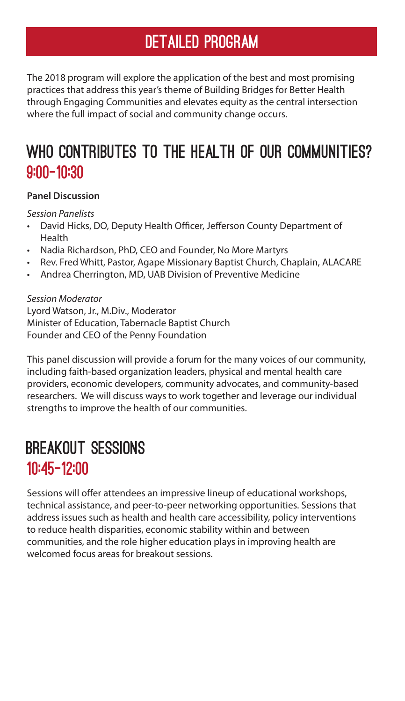## DETAILED PROGRAM

The 2018 program will explore the application of the best and most promising practices that address this year's theme of Building Bridges for Better Health through Engaging Communities and elevates equity as the central intersection where the full impact of social and community change occurs.

## WHO CONTRIBUTES TO THE HEALTH OF OUR COMMUNITIES? 9:00-10:30

#### **Panel Discussion**

*Session Panelists*

- David Hicks, DO, Deputy Health Officer, Jefferson County Department of Health
- Nadia Richardson, PhD, CEO and Founder, No More Martyrs
- Rev. Fred Whitt, Pastor, Agape Missionary Baptist Church, Chaplain, ALACARE
- • Andrea Cherrington, MD, UAB Division of Preventive Medicine

#### *Session Moderator*

Lyord Watson, Jr., M.Div., Moderator Minister of Education, Tabernacle Baptist Church Founder and CEO of the Penny Foundation

This panel discussion will provide a forum for the many voices of our community, including faith-based organization leaders, physical and mental health care providers, economic developers, community advocates, and community-based researchers. We will discuss ways to work together and leverage our individual strengths to improve the health of our communities.

### Breakout Sessions 10:45-12:00

Sessions will offer attendees an impressive lineup of educational workshops, technical assistance, and peer-to-peer networking opportunities. Sessions that address issues such as health and health care accessibility, policy interventions to reduce health disparities, economic stability within and between communities, and the role higher education plays in improving health are welcomed focus areas for breakout sessions.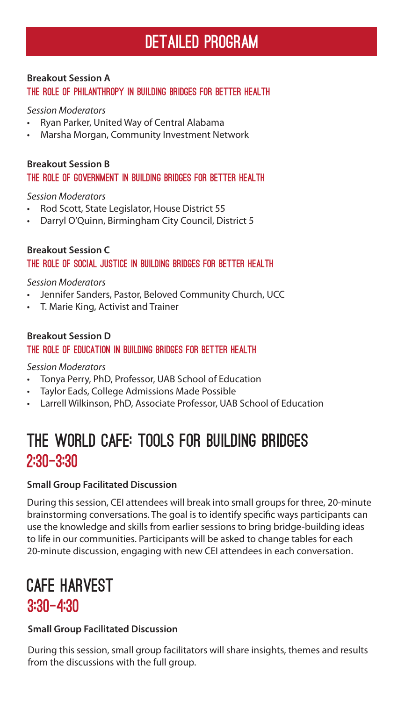#### **Breakout Session A**

The Role of Philanthropy in Building Bridges for Better Health

#### *Session Moderators*

- Ryan Parker, United Way of Central Alabama
- Marsha Morgan, Community Investment Network

#### The Role of government in Building Bridges for Better Health **Breakout Session B**

#### *Session Moderators*

- • Rod Scott, State Legislator, House District 55
- Darryl O'Quinn, Birmingham City Council, District 5

#### The Role of Social Justice in Building Bridges for Better Health **Breakout Session C**

#### *Session Moderators*

- Jennifer Sanders, Pastor, Beloved Community Church, UCC
- T. Marie King, Activist and Trainer

#### The Role of Education in Building Bridges for Better Health **Breakout Session D**

#### *Session Moderators*

- • Tonya Perry, PhD, Professor, UAB School of Education
- • Taylor Eads, College Admissions Made Possible
- Larrell Wilkinson, PhD, Associate Professor, UAB School of Education

## The World Cafe: Tools for Building Bridges 2:30-3:30

#### **Small Group Facilitated Discussion**

During this session, CEI attendees will break into small groups for three, 20-minute brainstorming conversations. The goal is to identify specific ways participants can use the knowledge and skills from earlier sessions to bring bridge-building ideas to life in our communities. Participants will be asked to change tables for each 20-minute discussion, engaging with new CEI attendees in each conversation.

### Cafe Harvest 3:30-4:30

#### **Small Group Facilitated Discussion**

During this session, small group facilitators will share insights, themes and results from the discussions with the full group.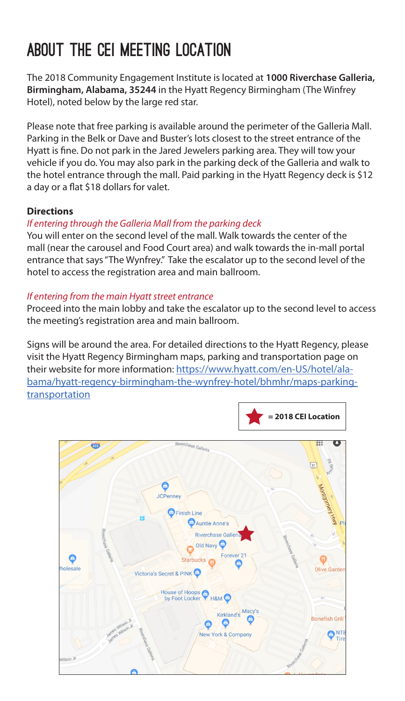## about THE cei Meeting location

The 2018 Community Engagement Institute is located at **1000 Riverchase Galleria, Birmingham, Alabama, 35244** in the Hyatt Regency Birmingham (The Winfrey Hotel), noted below by the large red star.

Please note that free parking is available around the perimeter of the Galleria Mall. Parking in the Belk or Dave and Buster's lots closest to the street entrance of the Hyatt is fine. Do not park in the Jared Jewelers parking area. They will tow your vehicle if you do. You may also park in the parking deck of the Galleria and walk to the hotel entrance through the mall. Paid parking in the Hyatt Regency deck is \$12 a day or a flat \$18 dollars for valet.

#### **Directions**

#### *If entering through the Galleria Mall from the parking deck*

You will enter on the second level of the mall. Walk towards the center of the mall (near the carousel and Food Court area) and walk towards the in-mall portal entrance that says "The Wynfrey." Take the escalator up to the second level of the hotel to access the registration area and main ballroom.

#### *If entering from the main Hyatt street entrance*

Proceed into the main lobby and take the escalator up to the second level to access the meeting's registration area and main ballroom.

Signs will be around the area. For detailed directions to the Hyatt Regency, please visit the Hyatt Regency Birmingham maps, parking and transportation page on their website for more information: https://www.hyatt.com/en-US/hotel/alabama/hyatt-regency-birmingham-the-wynfrey-hotel/bhmhr/maps-parking**transportation**